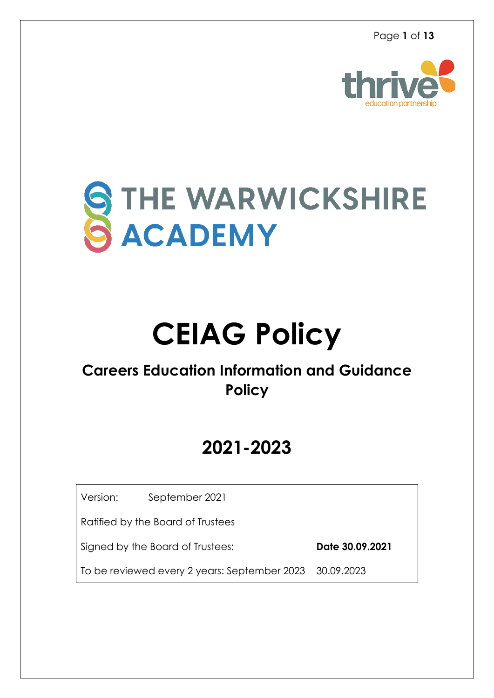

# STHE WARWICKSHIRE

# **CEIAG Policy**

### **Careers Education Information and Guidance Policy**

## **2021-2023**

Version: September 2021

Ratified by the Board of Trustees

Signed by the Board of Trustees:**Date 30.09.2021**

To be reviewed every 2 years: September 2023 30.09.2023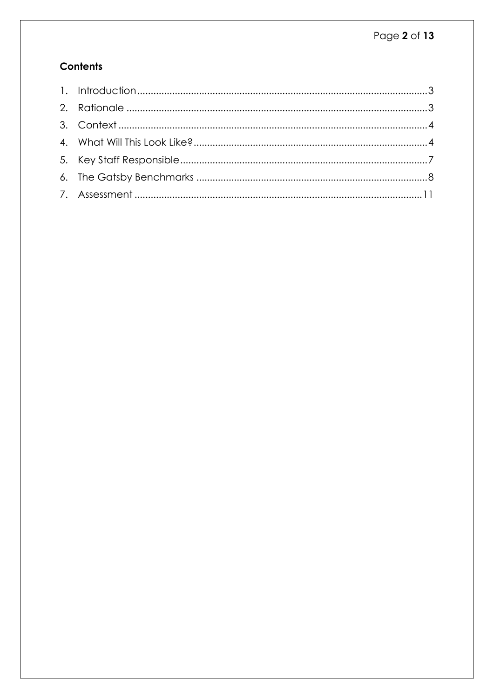#### **Contents**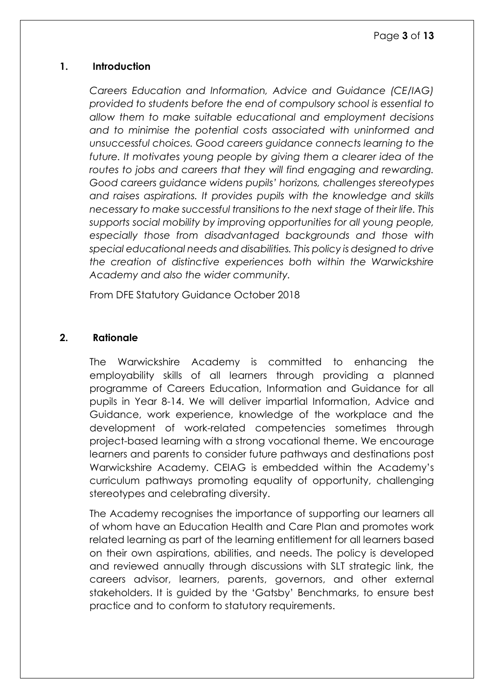#### <span id="page-2-0"></span>**1. Introduction**

*Careers Education and Information, Advice and Guidance (CE/IAG) provided to students before the end of compulsory school is essential to allow them to make suitable educational and employment decisions and to minimise the potential costs associated with uninformed and unsuccessful choices. Good careers guidance connects learning to the future. It motivates young people by giving them a clearer idea of the routes to jobs and careers that they will find engaging and rewarding. Good careers guidance widens pupils' horizons, challenges stereotypes and raises aspirations. It provides pupils with the knowledge and skills necessary to make successful transitions to the next stage of their life. This supports social mobility by improving opportunities for all young people, especially those from disadvantaged backgrounds and those with special educational needs and disabilities. This policy is designed to drive the creation of distinctive experiences both within the Warwickshire Academy and also the wider community.* 

From DFE Statutory Guidance October 2018

#### <span id="page-2-1"></span>**2. Rationale**

The Warwickshire Academy is committed to enhancing the employability skills of all learners through providing a planned programme of Careers Education, Information and Guidance for all pupils in Year 8-14. We will deliver impartial Information, Advice and Guidance, work experience, knowledge of the workplace and the development of work-related competencies sometimes through project-based learning with a strong vocational theme. We encourage learners and parents to consider future pathways and destinations post Warwickshire Academy. CEIAG is embedded within the Academy's curriculum pathways promoting equality of opportunity, challenging stereotypes and celebrating diversity.

The Academy recognises the importance of supporting our learners all of whom have an Education Health and Care Plan and promotes work related learning as part of the learning entitlement for all learners based on their own aspirations, abilities, and needs. The policy is developed and reviewed annually through discussions with SLT strategic link, the careers advisor, learners, parents, governors, and other external stakeholders. It is guided by the 'Gatsby' Benchmarks, to ensure best practice and to conform to statutory requirements.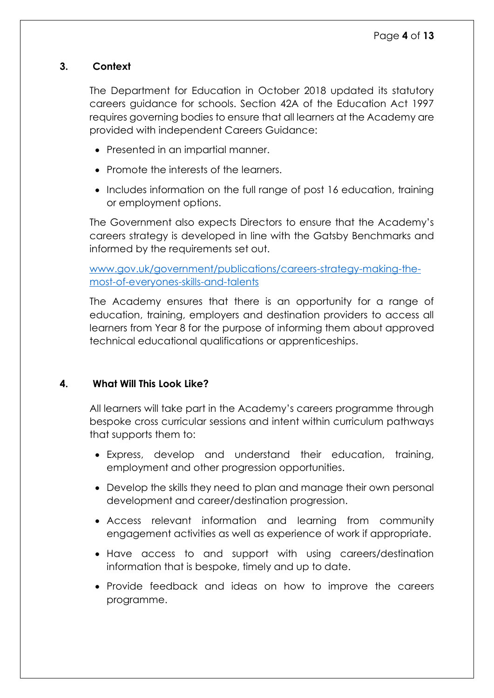#### <span id="page-3-0"></span>**3. Context**

The Department for Education in October 2018 updated its statutory careers guidance for schools. Section 42A of the Education Act 1997 requires governing bodies to ensure that all learners at the Academy are provided with independent Careers Guidance:

- Presented in an impartial manner.
- Promote the interests of the learners.
- Includes information on the full range of post 16 education, training or employment options.

The Government also expects Directors to ensure that the Academy's careers strategy is developed in line with the Gatsby Benchmarks and informed by the requirements set out.

[www.gov.uk/government/publications/careers-strategy-making-the](http://www.gov.uk/government/publications/careers-strategy-making-the-most-of-everyones-skills-and-talents)[most-of-everyones-skills-and-talents](http://www.gov.uk/government/publications/careers-strategy-making-the-most-of-everyones-skills-and-talents)

The Academy ensures that there is an opportunity for a range of education, training, employers and destination providers to access all learners from Year 8 for the purpose of informing them about approved technical educational qualifications or apprenticeships.

#### <span id="page-3-1"></span>**4. What Will This Look Like?**

All learners will take part in the Academy's careers programme through bespoke cross curricular sessions and intent within curriculum pathways that supports them to:

- Express, develop and understand their education, training, employment and other progression opportunities.
- Develop the skills they need to plan and manage their own personal development and career/destination progression.
- Access relevant information and learning from community engagement activities as well as experience of work if appropriate.
- Have access to and support with using careers/destination information that is bespoke, timely and up to date.
- Provide feedback and ideas on how to improve the careers programme.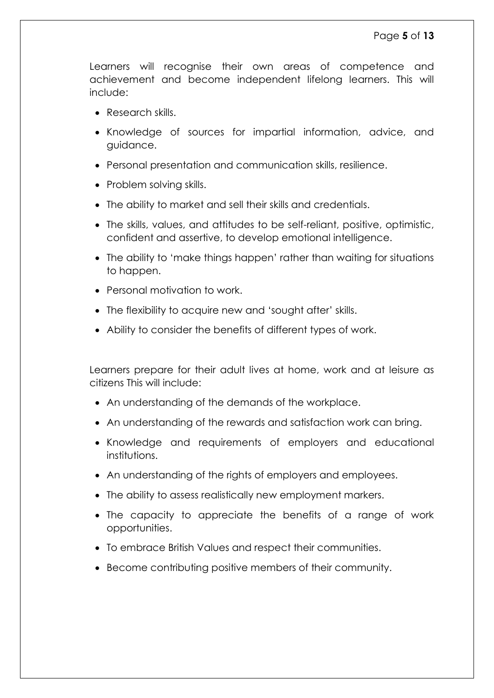Learners will recognise their own areas of competence and achievement and become independent lifelong learners. This will include:

- Research skills.
- Knowledge of sources for impartial information, advice, and guidance.
- Personal presentation and communication skills, resilience.
- Problem solving skills.
- The ability to market and sell their skills and credentials.
- The skills, values, and attitudes to be self-reliant, positive, optimistic, confident and assertive, to develop emotional intelligence.
- The ability to 'make things happen' rather than waiting for situations to happen.
- Personal motivation to work.
- The flexibility to acquire new and 'sought after' skills.
- Ability to consider the benefits of different types of work.

Learners prepare for their adult lives at home, work and at leisure as citizens This will include:

- An understanding of the demands of the workplace.
- An understanding of the rewards and satisfaction work can bring.
- Knowledge and requirements of employers and educational institutions.
- An understanding of the rights of employers and employees.
- The ability to assess realistically new employment markers.
- The capacity to appreciate the benefits of a range of work opportunities.
- To embrace British Values and respect their communities.
- Become contributing positive members of their community.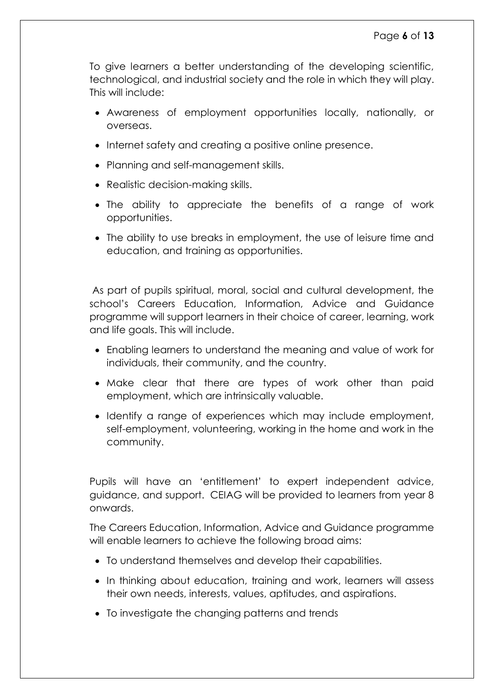To give learners a better understanding of the developing scientific, technological, and industrial society and the role in which they will play. This will include:

- Awareness of employment opportunities locally, nationally, or overseas.
- Internet safety and creating a positive online presence.
- Planning and self-management skills.
- Realistic decision-making skills.
- The ability to appreciate the benefits of a range of work opportunities.
- The ability to use breaks in employment, the use of leisure time and education, and training as opportunities.

As part of pupils spiritual, moral, social and cultural development, the school's Careers Education, Information, Advice and Guidance programme will support learners in their choice of career, learning, work and life goals. This will include.

- Enabling learners to understand the meaning and value of work for individuals, their community, and the country.
- Make clear that there are types of work other than paid employment, which are intrinsically valuable.
- Identify a range of experiences which may include employment, self-employment, volunteering, working in the home and work in the community.

Pupils will have an 'entitlement' to expert independent advice, guidance, and support. CEIAG will be provided to learners from year 8 onwards.

The Careers Education, Information, Advice and Guidance programme will enable learners to achieve the following broad aims:

- To understand themselves and develop their capabilities.
- In thinking about education, training and work, learners will assess their own needs, interests, values, aptitudes, and aspirations.
- To investigate the changing patterns and trends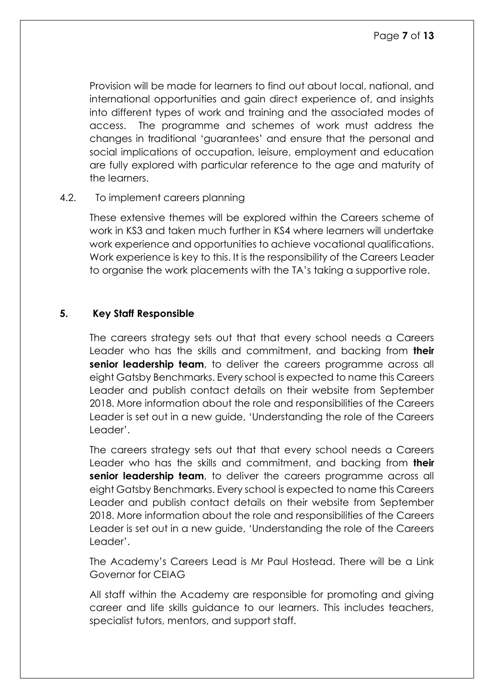Provision will be made for learners to find out about local, national, and international opportunities and gain direct experience of, and insights into different types of work and training and the associated modes of access. The programme and schemes of work must address the changes in traditional 'guarantees' and ensure that the personal and social implications of occupation, leisure, employment and education are fully explored with particular reference to the age and maturity of the learners.

#### 4.2. To implement careers planning

These extensive themes will be explored within the Careers scheme of work in KS3 and taken much further in KS4 where learners will undertake work experience and opportunities to achieve vocational qualifications. Work experience is key to this. It is the responsibility of the Careers Leader to organise the work placements with the TA's taking a supportive role.

#### <span id="page-6-0"></span>**5. Key Staff Responsible**

The careers strategy sets out that that every school needs a Careers Leader who has the skills and commitment, and backing from **their senior leadership team**, to deliver the careers programme across all eight Gatsby Benchmarks. Every school is expected to name this Careers Leader and publish contact details on their website from September 2018. More information about the role and responsibilities of the Careers Leader is set out in a new guide, 'Understanding the role of the Careers Leader'.

The careers strategy sets out that that every school needs a Careers Leader who has the skills and commitment, and backing from **their senior leadership team**, to deliver the careers programme across all eight Gatsby Benchmarks. Every school is expected to name this Careers Leader and publish contact details on their website from September 2018. More information about the role and responsibilities of the Careers Leader is set out in a new guide, 'Understanding the role of the Careers Leader'.

The Academy's Careers Lead is Mr Paul Hostead. There will be a Link Governor for CEIAG

All staff within the Academy are responsible for promoting and giving career and life skills guidance to our learners. This includes teachers, specialist tutors, mentors, and support staff.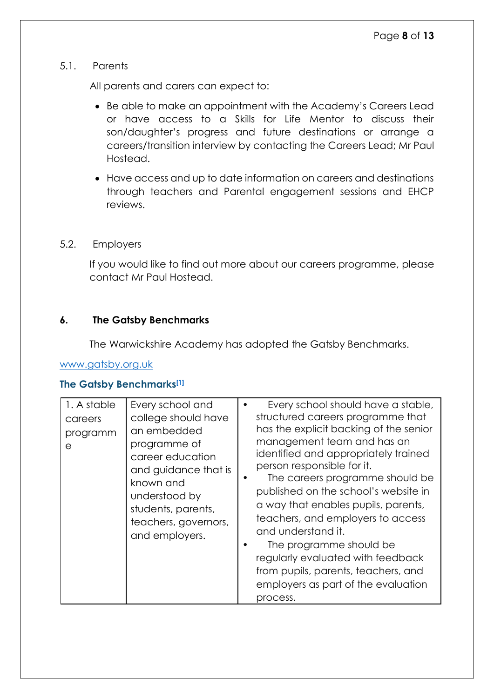#### 5.1. Parents

All parents and carers can expect to:

- Be able to make an appointment with the Academy's Careers Lead or have access to a Skills for Life Mentor to discuss their son/daughter's progress and future destinations or arrange a careers/transition interview by contacting the Careers Lead; Mr Paul Hostead.
- Have access and up to date information on careers and destinations through teachers and Parental engagement sessions and EHCP reviews.

#### 5.2. Employers

If you would like to find out more about our careers programme, please contact Mr Paul Hostead.

#### <span id="page-7-0"></span>**6. The Gatsby Benchmarks**

The Warwickshire Academy has adopted the Gatsby Benchmarks.

#### [www.gatsby.org.uk](http://www.gatsby.org.uk/)

#### **The Gatsby Benchmarks[\[1\]](file:///C:/Users/Rachel_Murray/Desktop/policies/Careers-Policy-Dovetree-001.docx%23_ftn1)**

| 1. A stable<br>careers<br>programm<br>е | Every school and<br>college should have<br>an embedded<br>programme of<br>career education<br>and guidance that is<br>known and<br>understood by<br>students, parents,<br>teachers, governors,<br>and employers. | Every school should have a stable,<br>structured careers programme that<br>has the explicit backing of the senior<br>management team and has an<br>identified and appropriately trained<br>person responsible for it.<br>The careers programme should be<br>published on the school's website in<br>a way that enables pupils, parents,<br>teachers, and employers to access<br>and understand it.<br>The programme should be<br>regularly evaluated with feedback<br>from pupils, parents, teachers, and<br>employers as part of the evaluation<br>process. |
|-----------------------------------------|------------------------------------------------------------------------------------------------------------------------------------------------------------------------------------------------------------------|--------------------------------------------------------------------------------------------------------------------------------------------------------------------------------------------------------------------------------------------------------------------------------------------------------------------------------------------------------------------------------------------------------------------------------------------------------------------------------------------------------------------------------------------------------------|
|-----------------------------------------|------------------------------------------------------------------------------------------------------------------------------------------------------------------------------------------------------------------|--------------------------------------------------------------------------------------------------------------------------------------------------------------------------------------------------------------------------------------------------------------------------------------------------------------------------------------------------------------------------------------------------------------------------------------------------------------------------------------------------------------------------------------------------------------|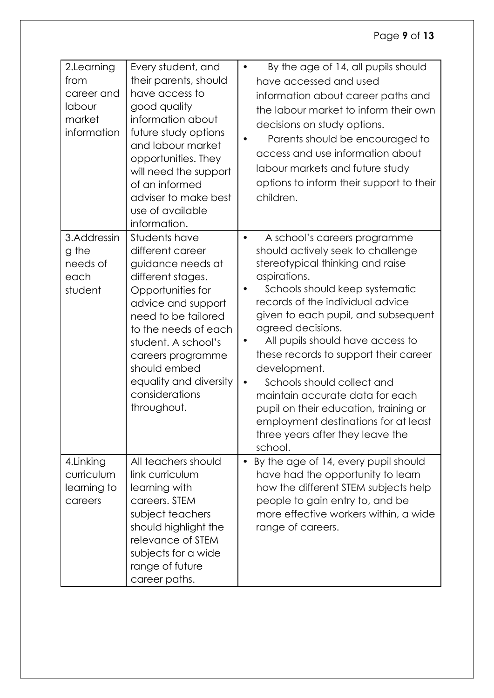#### Page **9** of **13**

| 2.Learning<br>from<br>career and<br>labour<br>market<br>information | Every student, and<br>their parents, should<br>have access to<br>good quality<br>information about<br>future study options<br>and labour market<br>opportunities. They<br>will need the support<br>of an informed<br>adviser to make best<br>use of available<br>information.                | By the age of 14, all pupils should<br>$\bullet$<br>have accessed and used<br>information about career paths and<br>the labour market to inform their own<br>decisions on study options.<br>Parents should be encouraged to<br>access and use information about<br>labour markets and future study<br>options to inform their support to their<br>children.                                                                                                                                                                                                                     |
|---------------------------------------------------------------------|----------------------------------------------------------------------------------------------------------------------------------------------------------------------------------------------------------------------------------------------------------------------------------------------|---------------------------------------------------------------------------------------------------------------------------------------------------------------------------------------------------------------------------------------------------------------------------------------------------------------------------------------------------------------------------------------------------------------------------------------------------------------------------------------------------------------------------------------------------------------------------------|
| 3.Addressin<br>g the<br>needs of<br>each<br>student                 | Students have<br>different career<br>guidance needs at<br>different stages.<br>Opportunities for<br>advice and support<br>need to be tailored<br>to the needs of each<br>student. A school's<br>careers programme<br>should embed<br>equality and diversity<br>considerations<br>throughout. | A school's careers programme<br>$\bullet$<br>should actively seek to challenge<br>stereotypical thinking and raise<br>aspirations.<br>Schools should keep systematic<br>records of the individual advice<br>given to each pupil, and subsequent<br>agreed decisions.<br>All pupils should have access to<br>these records to support their career<br>development.<br>Schools should collect and<br>$\bullet$<br>maintain accurate data for each<br>pupil on their education, training or<br>employment destinations for at least<br>three years after they leave the<br>school. |
| 4. Linking<br>curriculum<br>learning to<br>careers                  | All teachers should<br>link curriculum<br>learning with<br>careers. STEM<br>subject teachers<br>should highlight the<br>relevance of STEM<br>subjects for a wide<br>range of future<br>career paths.                                                                                         | By the age of 14, every pupil should<br>$\bullet$<br>have had the opportunity to learn<br>how the different STEM subjects help<br>people to gain entry to, and be<br>more effective workers within, a wide<br>range of careers.                                                                                                                                                                                                                                                                                                                                                 |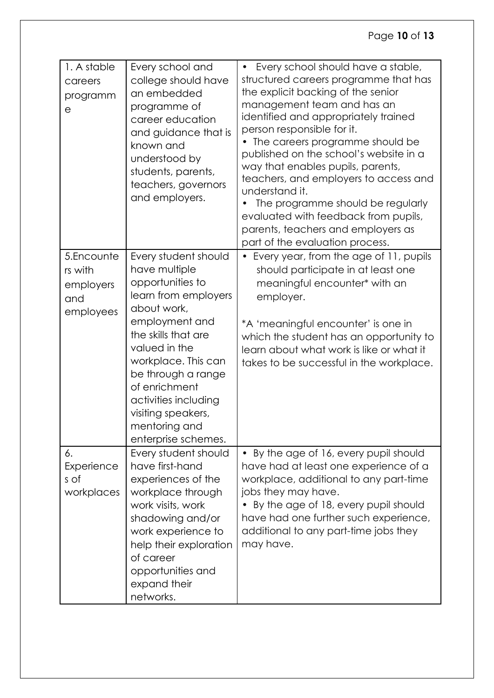| 1. A stable<br>careers<br>programm<br>е                | Every school and<br>college should have<br>an embedded<br>programme of<br>career education<br>and guidance that is<br>known and<br>understood by<br>students, parents,<br>teachers, governors<br>and employers.                                                                                                | Every school should have a stable,<br>$\bullet$<br>structured careers programme that has<br>the explicit backing of the senior<br>management team and has an<br>identified and appropriately trained<br>person responsible for it.<br>The careers programme should be<br>published on the school's website in a<br>way that enables pupils, parents,<br>teachers, and employers to access and<br>understand it.<br>The programme should be regularly<br>evaluated with feedback from pupils,<br>parents, teachers and employers as<br>part of the evaluation process. |
|--------------------------------------------------------|----------------------------------------------------------------------------------------------------------------------------------------------------------------------------------------------------------------------------------------------------------------------------------------------------------------|-----------------------------------------------------------------------------------------------------------------------------------------------------------------------------------------------------------------------------------------------------------------------------------------------------------------------------------------------------------------------------------------------------------------------------------------------------------------------------------------------------------------------------------------------------------------------|
| 5.Encounte<br>rs with<br>employers<br>and<br>employees | Every student should<br>have multiple<br>opportunities to<br>learn from employers<br>about work,<br>employment and<br>the skills that are<br>valued in the<br>workplace. This can<br>be through a range<br>of enrichment<br>activities including<br>visiting speakers,<br>mentoring and<br>enterprise schemes. | • Every year, from the age of 11, pupils<br>should participate in at least one<br>meaningful encounter <sup>*</sup> with an<br>employer.<br>*A 'meaningful encounter' is one in<br>which the student has an opportunity to<br>learn about what work is like or what it<br>takes to be successful in the workplace.                                                                                                                                                                                                                                                    |
| 6.<br>Experience<br>s of<br>workplaces                 | Every student should<br>have first-hand<br>experiences of the<br>workplace through<br>work visits, work<br>shadowing and/or<br>work experience to<br>help their exploration<br>of career<br>opportunities and<br>expand their<br>networks.                                                                     | By the age of 16, every pupil should<br>$\bullet$<br>have had at least one experience of a<br>workplace, additional to any part-time<br>jobs they may have.<br>By the age of 18, every pupil should<br>have had one further such experience,<br>additional to any part-time jobs they<br>may have.                                                                                                                                                                                                                                                                    |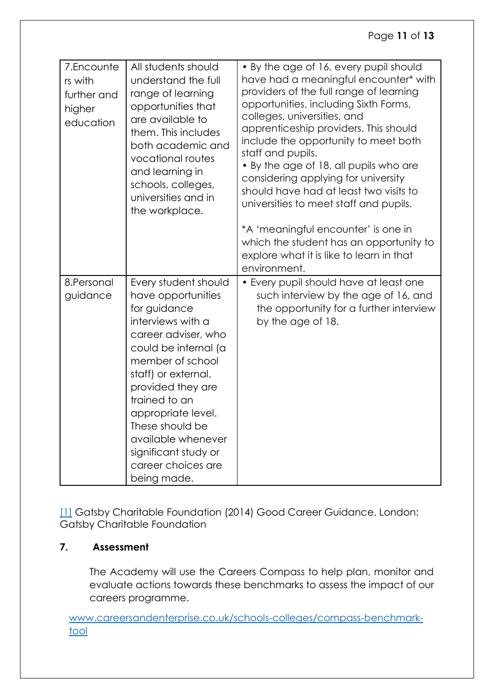#### Page **11** of **13**

| 7.Encounte<br>rs with<br>further and<br>higher<br>education | All students should<br>understand the full<br>range of learning<br>opportunities that<br>are available to<br>them. This includes<br>both academic and<br>vocational routes<br>and learning in<br>schools, colleges,<br>universities and in<br>the workplace.                                                                                | • By the age of 16, every pupil should<br>have had a meaningful encounter* with<br>providers of the full range of learning<br>opportunities, including Sixth Forms,<br>colleges, universities, and<br>apprenticeship providers. This should<br>include the opportunity to meet both<br>staff and pupils.<br>• By the age of 18, all pupils who are<br>considering applying for university<br>should have had at least two visits to<br>universities to meet staff and pupils.<br>*A 'meaningful encounter' is one in |
|-------------------------------------------------------------|---------------------------------------------------------------------------------------------------------------------------------------------------------------------------------------------------------------------------------------------------------------------------------------------------------------------------------------------|----------------------------------------------------------------------------------------------------------------------------------------------------------------------------------------------------------------------------------------------------------------------------------------------------------------------------------------------------------------------------------------------------------------------------------------------------------------------------------------------------------------------|
|                                                             |                                                                                                                                                                                                                                                                                                                                             | which the student has an opportunity to<br>explore what it is like to learn in that<br>environment.                                                                                                                                                                                                                                                                                                                                                                                                                  |
| 8.Personal<br>guidance                                      | Every student should<br>have opportunities<br>for guidance<br>interviews with a<br>career adviser, who<br>could be internal (a<br>member of school<br>staff) or external,<br>provided they are<br>trained to an<br>appropriate level.<br>These should be<br>available whenever<br>significant study or<br>career choices are<br>being made. | • Every pupil should have at least one<br>such interview by the age of 16, and<br>the opportunity for a further interview<br>by the age of 18.                                                                                                                                                                                                                                                                                                                                                                       |

[\[1\]](file:///C:/Users/Rachel_Murray/Desktop/policies/Careers-Policy-Dovetree-001.docx%23_ftnref1) Gatsby Charitable Foundation (2014) Good Career Guidance. London: Gatsby Charitable Foundation

#### <span id="page-10-0"></span>**7. Assessment**

The Academy will use the Careers Compass to help plan, monitor and evaluate actions towards these benchmarks to assess the impact of our careers programme.

[www.careersandenterprise.co.uk/schools-colleges/compass-benchmark](http://www.careersandenterprise.co.uk/schools-colleges/compass-benchmark-tool)[tool](http://www.careersandenterprise.co.uk/schools-colleges/compass-benchmark-tool)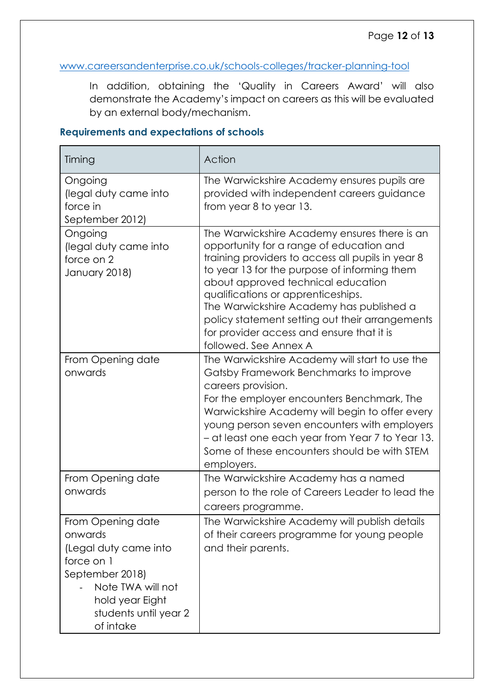#### [www.careersandenterprise.co.uk/schools-colleges/tracker-planning-tool](http://www.careersandenterprise.co.uk/schools-colleges/tracker-planning-tool)

In addition, obtaining the 'Quality in Careers Award' will also demonstrate the Academy's impact on careers as this will be evaluated by an external body/mechanism.

| Timing                                                                                                                                                               | Action                                                                                                                                                                                                                                                                                                                                                                                                                                         |
|----------------------------------------------------------------------------------------------------------------------------------------------------------------------|------------------------------------------------------------------------------------------------------------------------------------------------------------------------------------------------------------------------------------------------------------------------------------------------------------------------------------------------------------------------------------------------------------------------------------------------|
| Ongoing<br>(legal duty came into<br>force in<br>September 2012)                                                                                                      | The Warwickshire Academy ensures pupils are<br>provided with independent careers guidance<br>from year 8 to year 13.                                                                                                                                                                                                                                                                                                                           |
| Ongoing<br>(legal duty came into<br>force on 2<br>January 2018)                                                                                                      | The Warwickshire Academy ensures there is an<br>opportunity for a range of education and<br>training providers to access all pupils in year 8<br>to year 13 for the purpose of informing them<br>about approved technical education<br>qualifications or apprenticeships.<br>The Warwickshire Academy has published a<br>policy statement setting out their arrangements<br>for provider access and ensure that it is<br>followed. See Annex A |
| From Opening date<br>onwards                                                                                                                                         | The Warwickshire Academy will start to use the<br>Gatsby Framework Benchmarks to improve<br>careers provision.<br>For the employer encounters Benchmark, The<br>Warwickshire Academy will begin to offer every<br>young person seven encounters with employers<br>- at least one each year from Year 7 to Year 13.<br>Some of these encounters should be with STEM<br>employers.                                                               |
| From Opening date<br>onwards                                                                                                                                         | The Warwickshire Academy has a named<br>person to the role of Careers Leader to lead the<br>careers programme.                                                                                                                                                                                                                                                                                                                                 |
| From Opening date<br>onwards<br>(Legal duty came into<br>force on 1<br>September 2018)<br>Note TWA will not<br>hold year Eight<br>students until year 2<br>of intake | The Warwickshire Academy will publish details<br>of their careers programme for young people<br>and their parents.                                                                                                                                                                                                                                                                                                                             |

#### **Requirements and expectations of schools**